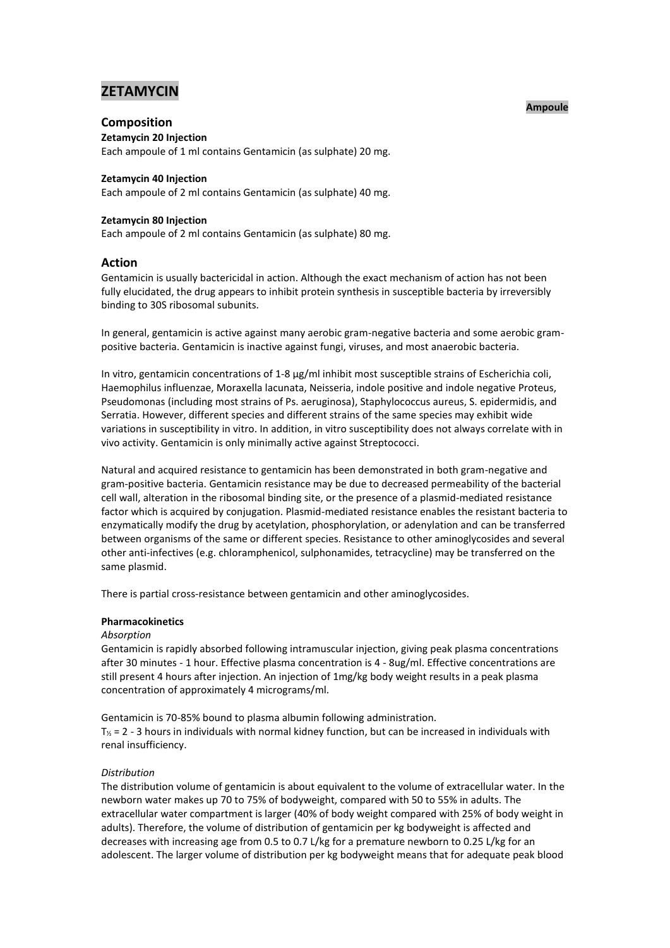# **ZETAMYCIN**

## **Composition**

**Zetamycin 20 Injection**

Each ampoule of 1 ml contains Gentamicin (as sulphate) 20 mg.

## **Zetamycin 40 Injection**

Each ampoule of 2 ml contains Gentamicin (as sulphate) 40 mg.

## **Zetamycin 80 Injection**

Each ampoule of 2 ml contains Gentamicin (as sulphate) 80 mg.

## **Action**

Gentamicin is usually bactericidal in action. Although the exact mechanism of action has not been fully elucidated, the drug appears to inhibit protein synthesis in susceptible bacteria by irreversibly binding to 30S ribosomal subunits.

In general, gentamicin is active against many aerobic gram-negative bacteria and some aerobic grampositive bacteria. Gentamicin is inactive against fungi, viruses, and most anaerobic bacteria.

In vitro, gentamicin concentrations of 1-8 µg/ml inhibit most susceptible strains of Escherichia coli, Haemophilus influenzae, Moraxella lacunata, Neisseria, indole positive and indole negative Proteus, Pseudomonas (including most strains of Ps. aeruginosa), Staphylococcus aureus, S. epidermidis, and Serratia. However, different species and different strains of the same species may exhibit wide variations in susceptibility in vitro. In addition, in vitro susceptibility does not always correlate with in vivo activity. Gentamicin is only minimally active against Streptococci.

Natural and acquired resistance to gentamicin has been demonstrated in both gram-negative and gram-positive bacteria. Gentamicin resistance may be due to decreased permeability of the bacterial cell wall, alteration in the ribosomal binding site, or the presence of a plasmid-mediated resistance factor which is acquired by conjugation. Plasmid-mediated resistance enables the resistant bacteria to enzymatically modify the drug by acetylation, phosphorylation, or adenylation and can be transferred between organisms of the same or different species. Resistance to other aminoglycosides and several other anti-infectives (e.g. chloramphenicol, sulphonamides, tetracycline) may be transferred on the same plasmid.

There is partial cross-resistance between gentamicin and other aminoglycosides.

## **Pharmacokinetics**

#### *Absorption*

Gentamicin is rapidly absorbed following intramuscular injection, giving peak plasma concentrations after 30 minutes - 1 hour. Effective plasma concentration is 4 - 8ug/ml. Effective concentrations are still present 4 hours after injection. An injection of 1mg/kg body weight results in a peak plasma concentration of approximately 4 micrograms/ml.

Gentamicin is 70-85% bound to plasma albumin following administration.  $T_{\gamma}$  = 2 - 3 hours in individuals with normal kidney function, but can be increased in individuals with renal insufficiency.

## *Distribution*

The distribution volume of gentamicin is about equivalent to the volume of extracellular water. In the newborn water makes up 70 to 75% of bodyweight, compared with 50 to 55% in adults. The extracellular water compartment is larger (40% of body weight compared with 25% of body weight in adults). Therefore, the volume of distribution of gentamicin per kg bodyweight is affected and decreases with increasing age from 0.5 to 0.7 L/kg for a premature newborn to 0.25 L/kg for an adolescent. The larger volume of distribution per kg bodyweight means that for adequate peak blood

#### **Ampoule**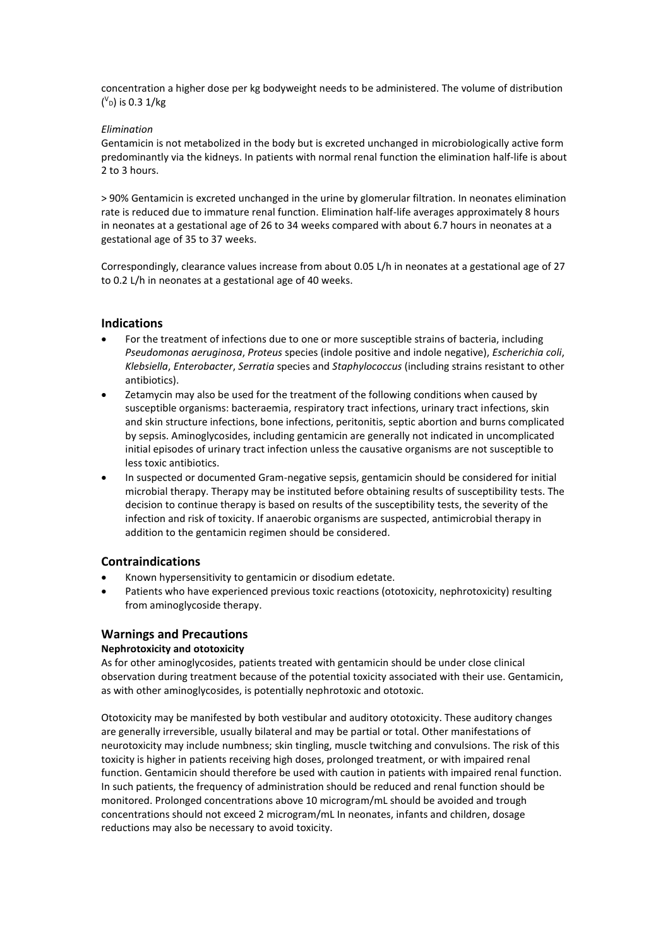concentration a higher dose per kg bodyweight needs to be administered. The volume of distribution ( $v_{\text{D}}$ ) is 0.3 1/kg

## *Elimination*

Gentamicin is not metabolized in the body but is excreted unchanged in microbiologically active form predominantly via the kidneys. In patients with normal renal function the elimination half-life is about 2 to 3 hours.

> 90% Gentamicin is excreted unchanged in the urine by glomerular filtration. In neonates elimination rate is reduced due to immature renal function. Elimination half-life averages approximately 8 hours in neonates at a gestational age of 26 to 34 weeks compared with about 6.7 hours in neonates at a gestational age of 35 to 37 weeks.

Correspondingly, clearance values increase from about 0.05 L/h in neonates at a gestational age of 27 to 0.2 L/h in neonates at a gestational age of 40 weeks.

## **Indications**

- For the treatment of infections due to one or more susceptible strains of bacteria, including *Pseudomonas aeruginosa*, *Proteus* species (indole positive and indole negative), *Escherichia coli*, *Klebsiella*, *Enterobacter*, *Serratia* species and *Staphylococcus* (including strains resistant to other antibiotics).
- Zetamycin may also be used for the treatment of the following conditions when caused by susceptible organisms: bacteraemia, respiratory tract infections, urinary tract infections, skin and skin structure infections, bone infections, peritonitis, septic abortion and burns complicated by sepsis. Aminoglycosides, including gentamicin are generally not indicated in uncomplicated initial episodes of urinary tract infection unless the causative organisms are not susceptible to less toxic antibiotics.
- In suspected or documented Gram-negative sepsis, gentamicin should be considered for initial microbial therapy. Therapy may be instituted before obtaining results of susceptibility tests. The decision to continue therapy is based on results of the susceptibility tests, the severity of the infection and risk of toxicity. If anaerobic organisms are suspected, antimicrobial therapy in addition to the gentamicin regimen should be considered.

## **Contraindications**

- Known hypersensitivity to gentamicin or disodium edetate.
- Patients who have experienced previous toxic reactions (ototoxicity, nephrotoxicity) resulting from aminoglycoside therapy.

## **Warnings and Precautions**

## **Nephrotoxicity and ototoxicity**

As for other aminoglycosides, patients treated with gentamicin should be under close clinical observation during treatment because of the potential toxicity associated with their use. Gentamicin, as with other aminoglycosides, is potentially nephrotoxic and ototoxic.

Ototoxicity may be manifested by both vestibular and auditory ototoxicity. These auditory changes are generally irreversible, usually bilateral and may be partial or total. Other manifestations of neurotoxicity may include numbness; skin tingling, muscle twitching and convulsions. The risk of this toxicity is higher in patients receiving high doses, prolonged treatment, or with impaired renal function. Gentamicin should therefore be used with caution in patients with impaired renal function. In such patients, the frequency of administration should be reduced and renal function should be monitored. Prolonged concentrations above 10 microgram/mL should be avoided and trough concentrations should not exceed 2 microgram/mL In neonates, infants and children, dosage reductions may also be necessary to avoid toxicity.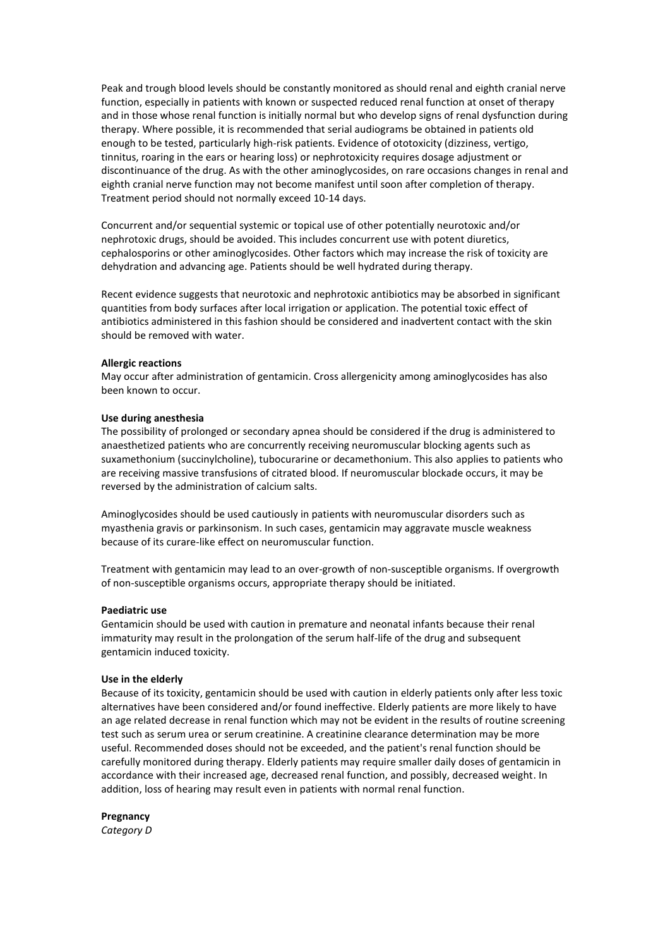Peak and trough blood levels should be constantly monitored as should renal and eighth cranial nerve function, especially in patients with known or suspected reduced renal function at onset of therapy and in those whose renal function is initially normal but who develop signs of renal dysfunction during therapy. Where possible, it is recommended that serial audiograms be obtained in patients old enough to be tested, particularly high-risk patients. Evidence of ototoxicity (dizziness, vertigo, tinnitus, roaring in the ears or hearing loss) or nephrotoxicity requires dosage adjustment or discontinuance of the drug. As with the other aminoglycosides, on rare occasions changes in renal and eighth cranial nerve function may not become manifest until soon after completion of therapy. Treatment period should not normally exceed 10-14 days.

Concurrent and/or sequential systemic or topical use of other potentially neurotoxic and/or nephrotoxic drugs, should be avoided. This includes concurrent use with potent diuretics, cephalosporins or other aminoglycosides. Other factors which may increase the risk of toxicity are dehydration and advancing age. Patients should be well hydrated during therapy.

Recent evidence suggests that neurotoxic and nephrotoxic antibiotics may be absorbed in significant quantities from body surfaces after local irrigation or application. The potential toxic effect of antibiotics administered in this fashion should be considered and inadvertent contact with the skin should be removed with water.

#### **Allergic reactions**

May occur after administration of gentamicin. Cross allergenicity among aminoglycosides has also been known to occur.

#### **Use during anesthesia**

The possibility of prolonged or secondary apnea should be considered if the drug is administered to anaesthetized patients who are concurrently receiving neuromuscular blocking agents such as suxamethonium (succinylcholine), tubocurarine or decamethonium. This also applies to patients who are receiving massive transfusions of citrated blood. If neuromuscular blockade occurs, it may be reversed by the administration of calcium salts.

Aminoglycosides should be used cautiously in patients with neuromuscular disorders such as myasthenia gravis or parkinsonism. In such cases, gentamicin may aggravate muscle weakness because of its curare-like effect on neuromuscular function.

Treatment with gentamicin may lead to an over-growth of non-susceptible organisms. If overgrowth of non-susceptible organisms occurs, appropriate therapy should be initiated.

### **Paediatric use**

Gentamicin should be used with caution in premature and neonatal infants because their renal immaturity may result in the prolongation of the serum half-life of the drug and subsequent gentamicin induced toxicity.

#### **Use in the elderly**

Because of its toxicity, gentamicin should be used with caution in elderly patients only after less toxic alternatives have been considered and/or found ineffective. Elderly patients are more likely to have an age related decrease in renal function which may not be evident in the results of routine screening test such as serum urea or serum creatinine. A creatinine clearance determination may be more useful. Recommended doses should not be exceeded, and the patient's renal function should be carefully monitored during therapy. Elderly patients may require smaller daily doses of gentamicin in accordance with their increased age, decreased renal function, and possibly, decreased weight. In addition, loss of hearing may result even in patients with normal renal function.

**Pregnancy** *Category D*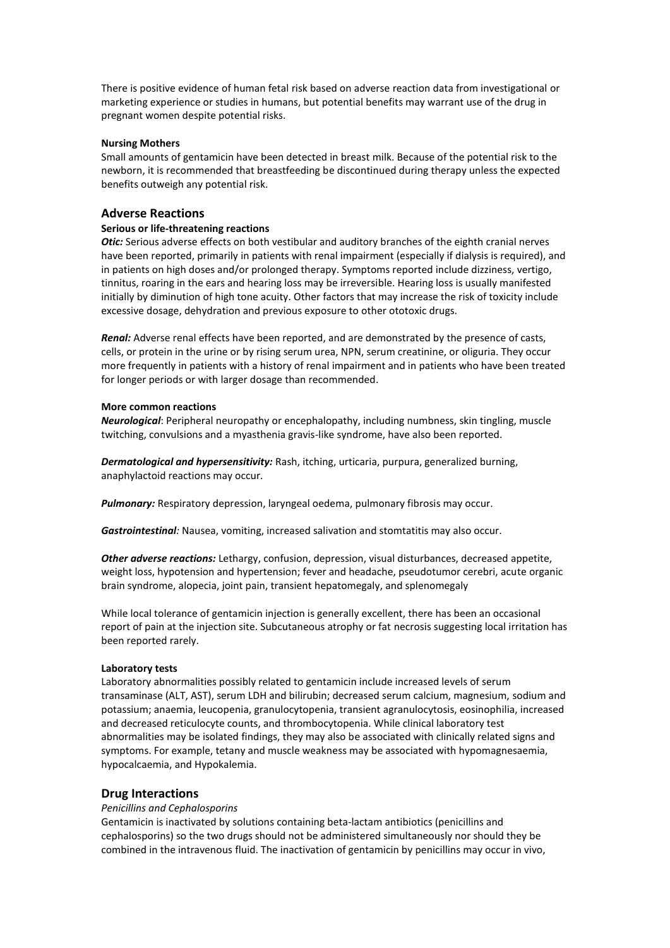There is positive evidence of human fetal risk based on adverse reaction data from investigational or marketing experience or studies in humans, but potential benefits may warrant use of the drug in pregnant women despite potential risks.

#### **Nursing Mothers**

Small amounts of gentamicin have been detected in breast milk. Because of the potential risk to the newborn, it is recommended that breastfeeding be discontinued during therapy unless the expected benefits outweigh any potential risk.

## **Adverse Reactions**

### **Serious or life-threatening reactions**

*Otic:* Serious adverse effects on both vestibular and auditory branches of the eighth cranial nerves have been reported, primarily in patients with renal impairment (especially if dialysis is required), and in patients on high doses and/or prolonged therapy. Symptoms reported include dizziness, vertigo, tinnitus, roaring in the ears and hearing loss may be irreversible. Hearing loss is usually manifested initially by diminution of high tone acuity. Other factors that may increase the risk of toxicity include excessive dosage, dehydration and previous exposure to other ototoxic drugs.

*Renal:* Adverse renal effects have been reported, and are demonstrated by the presence of casts, cells, or protein in the urine or by rising serum urea, NPN, serum creatinine, or oliguria. They occur more frequently in patients with a history of renal impairment and in patients who have been treated for longer periods or with larger dosage than recommended.

#### **More common reactions**

*Neurological*: Peripheral neuropathy or encephalopathy, including numbness, skin tingling, muscle twitching, convulsions and a myasthenia gravis-like syndrome, have also been reported.

*Dermatological and hypersensitivity:* Rash, itching, urticaria, purpura, generalized burning, anaphylactoid reactions may occur.

*Pulmonary:* Respiratory depression, laryngeal oedema, pulmonary fibrosis may occur.

*Gastrointestinal:* Nausea, vomiting, increased salivation and stomtatitis may also occur.

*Other adverse reactions:* Lethargy, confusion, depression, visual disturbances, decreased appetite, weight loss, hypotension and hypertension; fever and headache, pseudotumor cerebri, acute organic brain syndrome, alopecia, joint pain, transient hepatomegaly, and splenomegaly

While local tolerance of gentamicin injection is generally excellent, there has been an occasional report of pain at the injection site. Subcutaneous atrophy or fat necrosis suggesting local irritation has been reported rarely.

#### **Laboratory tests**

Laboratory abnormalities possibly related to gentamicin include increased levels of serum transaminase (ALT, AST), serum LDH and bilirubin; decreased serum calcium, magnesium, sodium and potassium; anaemia, leucopenia, granulocytopenia, transient agranulocytosis, eosinophilia, increased and decreased reticulocyte counts, and thrombocytopenia. While clinical laboratory test abnormalities may be isolated findings, they may also be associated with clinically related signs and symptoms. For example, tetany and muscle weakness may be associated with hypomagnesaemia, hypocalcaemia, and Hypokalemia.

## **Drug Interactions**

## *Penicillins and Cephalosporins*

Gentamicin is inactivated by solutions containing beta-lactam antibiotics (penicillins and cephalosporins) so the two drugs should not be administered simultaneously nor should they be combined in the intravenous fluid. The inactivation of gentamicin by penicillins may occur in vivo,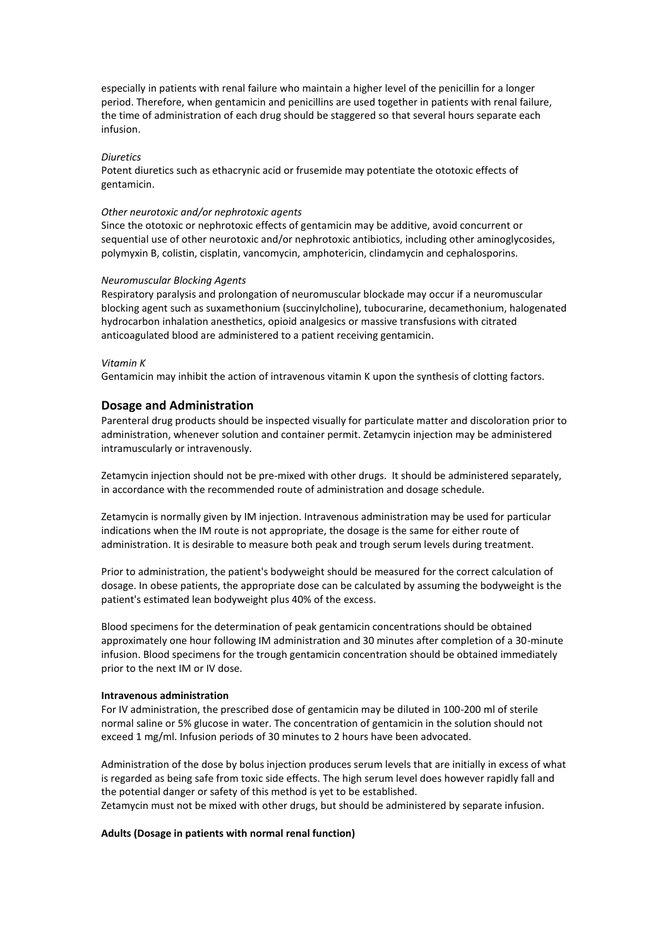especially in patients with renal failure who maintain a higher level of the penicillin for a longer period. Therefore, when gentamicin and penicillins are used together in patients with renal failure, the time of administration of each drug should be staggered so that several hours separate each infusion.

#### *Diuretics*

Potent diuretics such as ethacrynic acid or frusemide may potentiate the ototoxic effects of gentamicin.

#### *Other neurotoxic and/or nephrotoxic agents*

Since the ototoxic or nephrotoxic effects of gentamicin may be additive, avoid concurrent or sequential use of other neurotoxic and/or nephrotoxic antibiotics, including other aminoglycosides, polymyxin B, colistin, cisplatin, vancomycin, amphotericin, clindamycin and cephalosporins.

#### *Neuromuscular Blocking Agents*

Respiratory paralysis and prolongation of neuromuscular blockade may occur if a neuromuscular blocking agent such as suxamethonium (succinylcholine), tubocurarine, decamethonium, halogenated hydrocarbon inhalation anesthetics, opioid analgesics or massive transfusions with citrated anticoagulated blood are administered to a patient receiving gentamicin.

#### *Vitamin K*

Gentamicin may inhibit the action of intravenous vitamin K upon the synthesis of clotting factors.

#### **Dosage and Administration**

Parenteral drug products should be inspected visually for particulate matter and discoloration prior to administration, whenever solution and container permit. Zetamycin injection may be administered intramuscularly or intravenously.

Zetamycin injection should not be pre-mixed with other drugs. It should be administered separately, in accordance with the recommended route of administration and dosage schedule.

Zetamycin is normally given by IM injection. Intravenous administration may be used for particular indications when the IM route is not appropriate, the dosage is the same for either route of administration. It is desirable to measure both peak and trough serum levels during treatment.

Prior to administration, the patient's bodyweight should be measured for the correct calculation of dosage. In obese patients, the appropriate dose can be calculated by assuming the bodyweight is the patient's estimated lean bodyweight plus 40% of the excess.

Blood specimens for the determination of peak gentamicin concentrations should be obtained approximately one hour following IM administration and 30 minutes after completion of a 30-minute infusion. Blood specimens for the trough gentamicin concentration should be obtained immediately prior to the next IM or IV dose.

#### **Intravenous administration**

For IV administration, the prescribed dose of gentamicin may be diluted in 100-200 ml of sterile normal saline or 5% glucose in water. The concentration of gentamicin in the solution should not exceed 1 mg/ml. Infusion periods of 30 minutes to 2 hours have been advocated.

Administration of the dose by bolus injection produces serum levels that are initially in excess of what is regarded as being safe from toxic side effects. The high serum level does however rapidly fall and the potential danger or safety of this method is yet to be established.

Zetamycin must not be mixed with other drugs, but should be administered by separate infusion.

#### **Adults (Dosage in patients with normal renal function)**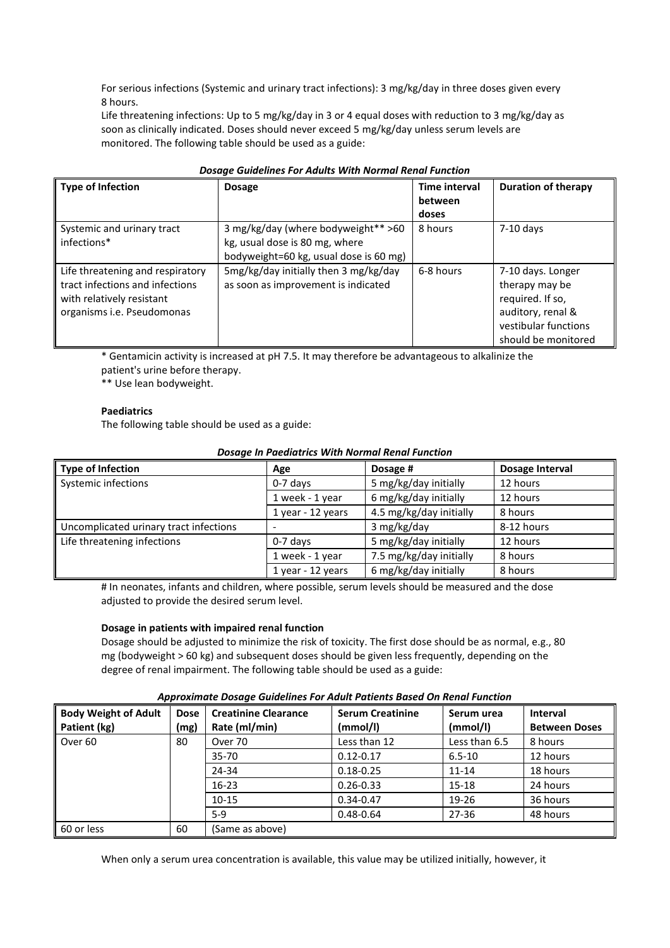For serious infections (Systemic and urinary tract infections): 3 mg/kg/day in three doses given every 8 hours.

Life threatening infections: Up to 5 mg/kg/day in 3 or 4 equal doses with reduction to 3 mg/kg/day as soon as clinically indicated. Doses should never exceed 5 mg/kg/day unless serum levels are monitored. The following table should be used as a guide:

| <b>Type of Infection</b>                                                                                                       | <b>Dosage</b>                                                                                                   | <b>Time interval</b><br>between<br>doses | <b>Duration of therapy</b>                                                                                                  |  |
|--------------------------------------------------------------------------------------------------------------------------------|-----------------------------------------------------------------------------------------------------------------|------------------------------------------|-----------------------------------------------------------------------------------------------------------------------------|--|
| Systemic and urinary tract<br>infections*                                                                                      | 3 mg/kg/day (where bodyweight** >60<br>kg, usual dose is 80 mg, where<br>bodyweight=60 kg, usual dose is 60 mg) | 8 hours                                  | $7-10$ days                                                                                                                 |  |
| Life threatening and respiratory<br>tract infections and infections<br>with relatively resistant<br>organisms i.e. Pseudomonas | 5mg/kg/day initially then 3 mg/kg/day<br>as soon as improvement is indicated                                    | 6-8 hours                                | 7-10 days. Longer<br>therapy may be<br>required. If so,<br>auditory, renal &<br>vestibular functions<br>should be monitored |  |

#### *Dosage Guidelines For Adults With Normal Renal Function*

\* Gentamicin activity is increased at pH 7.5. It may therefore be advantageous to alkalinize the patient's urine before therapy.

\*\* Use lean bodyweight.

## **Paediatrics**

The following table should be used as a guide:

| <b>Dosage In Paediatrics With Normal Renal Function</b> |  |  |  |  |
|---------------------------------------------------------|--|--|--|--|
|---------------------------------------------------------|--|--|--|--|

| <b>Type of Infection</b>               | Age               | Dosage #                | Dosage Interval |
|----------------------------------------|-------------------|-------------------------|-----------------|
| Systemic infections                    | $0-7$ days        | 5 mg/kg/day initially   | 12 hours        |
|                                        | 1 week - 1 year   | 6 mg/kg/day initially   | 12 hours        |
|                                        | 1 year - 12 years | 4.5 mg/kg/day initially | 8 hours         |
| Uncomplicated urinary tract infections |                   | 3 mg/kg/day             | 8-12 hours      |
| Life threatening infections            | $0-7$ days        | 5 mg/kg/day initially   | 12 hours        |
|                                        | 1 week - 1 year   | 7.5 mg/kg/day initially | 8 hours         |
|                                        | 1 year - 12 years | 6 mg/kg/day initially   | 8 hours         |

# In neonates, infants and children, where possible, serum levels should be measured and the dose adjusted to provide the desired serum level.

#### **Dosage in patients with impaired renal function**

Dosage should be adjusted to minimize the risk of toxicity. The first dose should be as normal, e.g., 80 mg (bodyweight > 60 kg) and subsequent doses should be given less frequently, depending on the degree of renal impairment. The following table should be used as a guide:

| Approximate Dosage Guidelines For Adult Patients Based On Renal Function |  |                                 |                  |                 |       |
|--------------------------------------------------------------------------|--|---------------------------------|------------------|-----------------|-------|
|                                                                          |  | Adult Doco Crootining Clearance | Corum Crootining | C <sub>OM</sub> | مرا ا |

| <b>Body Weight of Adult</b> | Dose | <b>Creatinine Clearance</b> | <b>Serum Creatinine</b> | Serum urea    | <b>Interval</b>      |
|-----------------------------|------|-----------------------------|-------------------------|---------------|----------------------|
| Patient (kg)                | (mg) | Rate (ml/min)               | (mmol/l)                | (mmol/l)      | <b>Between Doses</b> |
| Over <sub>60</sub>          | 80   | Over 70                     | Less than 12            | Less than 6.5 | 8 hours              |
|                             |      | $35 - 70$                   | $0.12 - 0.17$           | $6.5 - 10$    | 12 hours             |
|                             |      | 24-34                       | $0.18 - 0.25$           | $11 - 14$     | 18 hours             |
|                             |      | $16 - 23$                   | $0.26 - 0.33$           | $15 - 18$     | 24 hours             |
|                             |      | $10 - 15$                   | $0.34 - 0.47$           | 19-26         | 36 hours             |
|                             |      | $5-9$                       | $0.48 - 0.64$           | $27 - 36$     | 48 hours             |
| 60 or less                  | 60   | (Same as above)             |                         |               |                      |

When only a serum urea concentration is available, this value may be utilized initially, however, it